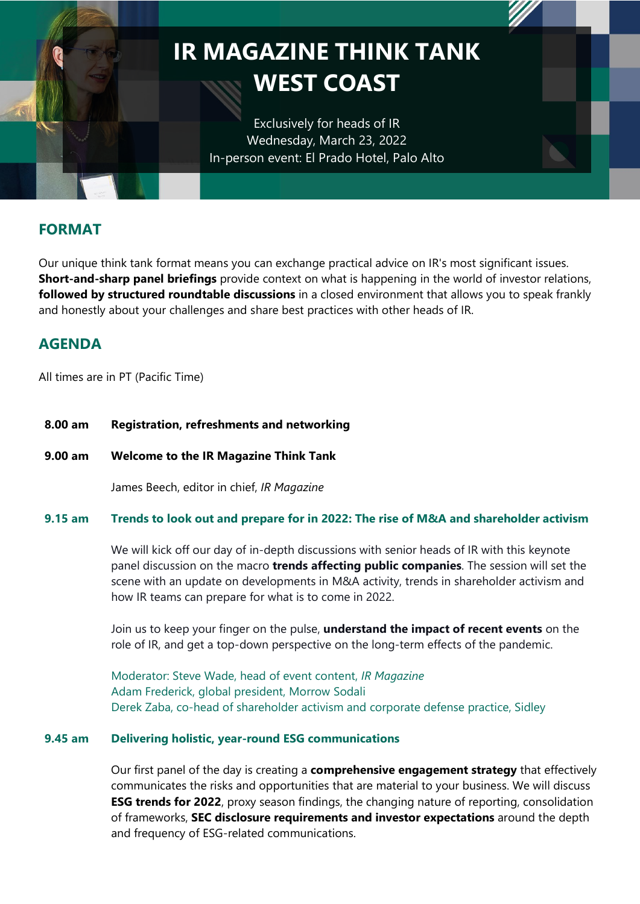Exclusively for heads of IR Wednesday, March 23, 2022 In-person event: El Prado Hotel, Palo Alto

### **FORMAT**

Our unique think tank format means you can exchange practical advice on IR's most significant issues. **Short-and-sharp panel briefings** provide context on what is happening in the world of investor relations, **followed by structured roundtable discussions** in a closed environment that allows you to speak frankly and honestly about your challenges and share best practices with other heads of IR.

### **AGENDA**

All times are in PT (Pacific Time)

#### **8.00 am Registration, refreshments and networking**

**9.00 am Welcome to the IR Magazine Think Tank**

James Beech, editor in chief, *IR Magazine*

#### **9.15 am Trends to look out and prepare for in 2022: The rise of M&A and shareholder activism**

We will kick off our day of in-depth discussions with senior heads of IR with this keynote panel discussion on the macro **trends affecting public companies**. The session will set the scene with an update on developments in M&A activity, trends in shareholder activism and how IR teams can prepare for what is to come in 2022.

Join us to keep your finger on the pulse, **understand the impact of recent events** on the role of IR, and get a top-down perspective on the long-term effects of the pandemic.

Moderator: Steve Wade, head of event content, *IR Magazine* Adam Frederick, global president, Morrow Sodali Derek Zaba, co-head of shareholder activism and corporate defense practice, Sidley

#### **9.45 am Delivering holistic, year-round ESG communications**

Our first panel of the day is creating a **comprehensive engagement strategy** that effectively communicates the risks and opportunities that are material to your business. We will discuss **ESG trends for 2022**, proxy season findings, the changing nature of reporting, consolidation of frameworks, **SEC disclosure requirements and investor expectations** around the depth and frequency of ESG-related communications.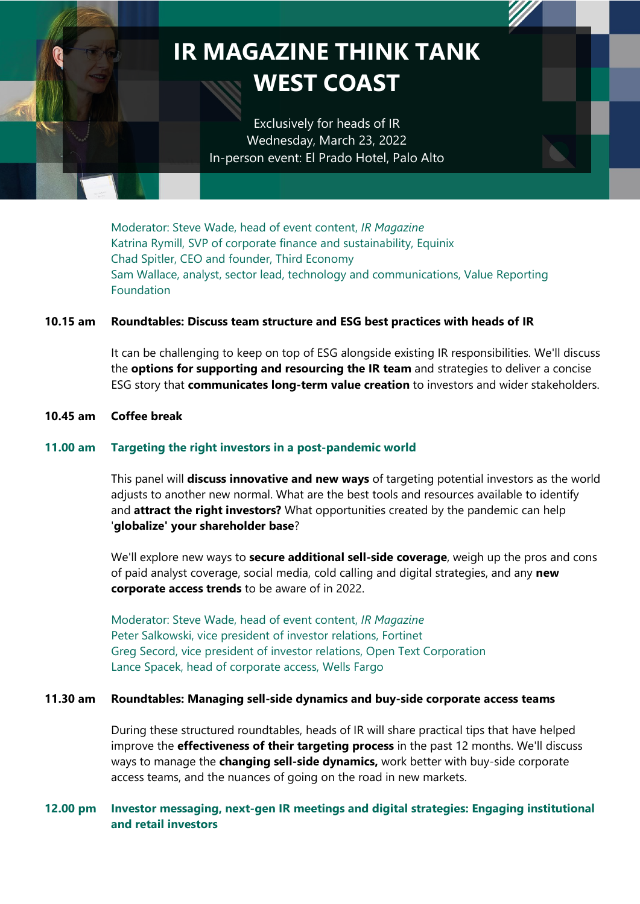Exclusively for heads of IR Wednesday, March 23, 2022 In-person event: El Prado Hotel, Palo Alto

Moderator: Steve Wade, head of event content, *IR Magazine* Katrina Rymill, SVP of corporate finance and sustainability, Equinix Chad Spitler, CEO and founder, Third Economy Sam Wallace, analyst, sector lead, technology and communications, Value Reporting Foundation

#### **10.15 am Roundtables: Discuss team structure and ESG best practices with heads of IR**

It can be challenging to keep on top of ESG alongside existing IR responsibilities. We'll discuss the **options for supporting and resourcing the IR team** and strategies to deliver a concise ESG story that **communicates long-term value creation** to investors and wider stakeholders.

#### **10.45 am Coffee break**

#### **11.00 am Targeting the right investors in a post-pandemic world**

This panel will **discuss innovative and new ways** of targeting potential investors as the world adjusts to another new normal. What are the best tools and resources available to identify and **attract the right investors?** What opportunities created by the pandemic can help '**globalize' your shareholder base**?

We'll explore new ways to **secure additional sell-side coverage**, weigh up the pros and cons of paid analyst coverage, social media, cold calling and digital strategies, and any **new corporate access trends** to be aware of in 2022.

Moderator: Steve Wade, head of event content, *IR Magazine* Peter Salkowski, vice president of investor relations, Fortinet Greg Secord, vice president of investor relations, Open Text Corporation Lance Spacek, head of corporate access, Wells Fargo

#### **11.30 am Roundtables: Managing sell-side dynamics and buy-side corporate access teams**

During these structured roundtables, heads of IR will share practical tips that have helped improve the **effectiveness of their targeting process** in the past 12 months. We'll discuss ways to manage the **changing sell-side dynamics,** work better with buy-side corporate access teams, and the nuances of going on the road in new markets.

#### **12.00 pm Investor messaging, next-gen IR meetings and digital strategies: Engaging institutional and retail investors**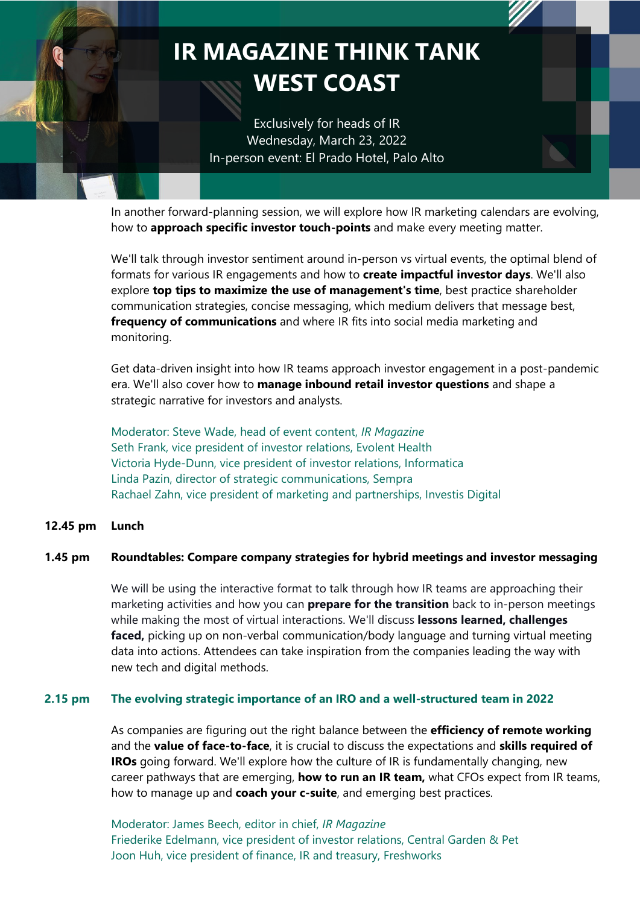Exclusively for heads of IR Wednesday, March 23, 2022 In-person event: El Prado Hotel, Palo Alto

In another forward-planning session, we will explore how IR marketing calendars are evolving, how to **approach specific investor touch-points** and make every meeting matter.

We'll talk through investor sentiment around in-person vs virtual events, the optimal blend of formats for various IR engagements and how to **create impactful investor days**. We'll also explore **top tips to maximize the use of management's time**, best practice shareholder communication strategies, concise messaging, which medium delivers that message best, **frequency of communications** and where IR fits into social media marketing and monitoring.

Get data-driven insight into how IR teams approach investor engagement in a post-pandemic era. We'll also cover how to **manage inbound retail investor questions** and shape a strategic narrative for investors and analysts.

Moderator: Steve Wade, head of event content, *IR Magazine* Seth Frank, vice president of investor relations, Evolent Health Victoria Hyde-Dunn, vice president of investor relations, Informatica Linda Pazin, director of strategic communications, Sempra Rachael Zahn, vice president of marketing and partnerships, Investis Digital

#### **12.45 pm Lunch**

#### **1.45 pm Roundtables: Compare company strategies for hybrid meetings and investor messaging**

We will be using the interactive format to talk through how IR teams are approaching their marketing activities and how you can **prepare for the transition** back to in-person meetings while making the most of virtual interactions. We'll discuss **lessons learned, challenges faced,** picking up on non-verbal communication/body language and turning virtual meeting data into actions. Attendees can take inspiration from the companies leading the way with new tech and digital methods.

#### **2.15 pm The evolving strategic importance of an IRO and a well-structured team in 2022**

As companies are figuring out the right balance between the **efficiency of remote working**  and the **value of face-to-face**, it is crucial to discuss the expectations and **skills required of IROs** going forward. We'll explore how the culture of IR is fundamentally changing, new career pathways that are emerging, **how to run an IR team,** what CFOs expect from IR teams, how to manage up and **coach your c-suite**, and emerging best practices.

Moderator: James Beech, editor in chief, *IR Magazine* Friederike Edelmann, vice president of investor relations, Central Garden & Pet Joon Huh, vice president of finance, IR and treasury, Freshworks